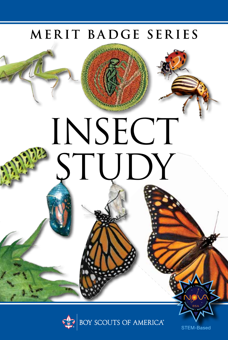# MERIT BADGE SERIES

INSECT

STUDY



STEM-Based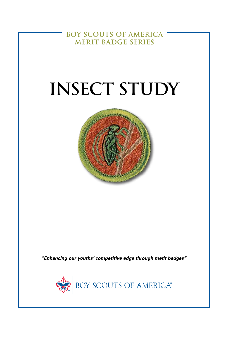**BOY SCOUTS OF AMERICA MERIT BADGE SERIES**

# **INSECT STUDY**



*"Enhancing our youths' competitive edge through merit badges"*

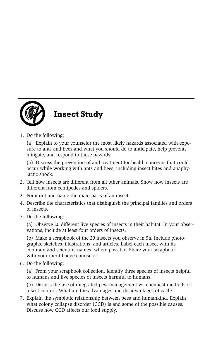

1. Do the following:

(a) Explain to your counselor the most likely hazards associated with exposure to ants and bees and what you should do to anticipate, help prevent, mitigate, and respond to these hazards.

(b) Discuss the prevention of and treatment for health concerns that could occur while working with ants and bees, including insect bites and anaphylactic shock.

- 2. Tell how insects are different from all other animals. Show how insects are different from centipedes and spiders.
- 3. Point out and name the main parts of an insect.
- 4. Describe the characteristics that distinguish the principal families and orders of insects.
- 5. Do the following:

(a) Observe 20 different live species of insects in their habitat. In your observations, include at least four orders of insects.

(b) Make a scrapbook of the 20 insects you observe in 5a. Include photographs, sketches, illustrations, and articles. Label each insect with its common and scientific names, where possible. Share your scrapbook with your merit badge counselor.

6. Do the following:

(a) From your scrapbook collection, identify three species of insects helpful to humans and five species of insects harmful to humans.

(b) Discuss the use of integrated pest management vs. chemical methods of insect control. What are the advantages and disadvantages of each?

7. Explain the symbiotic relationship between bees and humankind. Explain what colony collapse disorder (CCD) is and some of the possible causes. Discuss how CCD affects our food supply.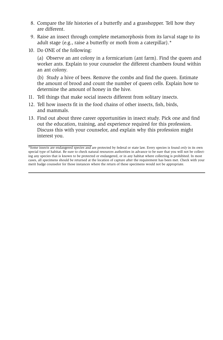- 8. Compare the life histories of a butterfly and a grasshopper. Tell how they are different.
- 9. Raise an insect through complete metamorphosis from its larval stage to its adult stage (e.g., raise a butterfly or moth from a caterpillar).\*
- 10. Do ONE of the following:

(a) Observe an ant colony in a formicarium (ant farm). Find the queen and worker ants. Explain to your counselor the different chambers found within an ant colony.

(b) Study a hive of bees. Remove the combs and find the queen. Estimate the amount of brood and count the number of queen cells. Explain how to determine the amount of honey in the hive.

- 11. Tell things that make social insects different from solitary insects.
- 12. Tell how insects fit in the food chains of other insects, fish, birds, and mammals.
- 13. Find out about three career opportunities in insect study. Pick one and find out the education, training, and experience required for this profession. Discuss this with your counselor, and explain why this profession might interest you.

<sup>\*</sup>Some insects are endangered species and are protected by federal or state law. Every species is found *only* in its own special type of habitat. Be sure to check natural resources authorities in advance to be sure that you will not be collecting any species that is known to be protected or endangered, or in any habitat where collecting is prohibited. In most cases, all specimens should be returned at the location of capture after the requirement has been met. Check with your merit badge counselor for those instances where the return of these specimens would not be appropriate.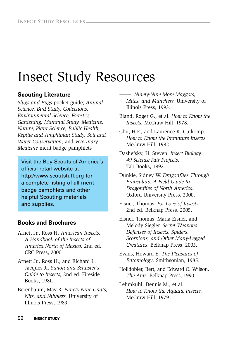# Insect Study Resources

## **Scouting Literature**

*Slugs and Bugs* pocket guide; *Animal Science, Bird Study, Collections, Environmental Science, Forestry, Gardening, Mammal Study, Medicine, Nature, Plant Science, Public Health, Reptile and Amphibian Study, Soil and Water Conservation,* and *Veterinary Medicine* merit badge pamphlets

Visit the Boy Scouts of America's official retail website at http://www.scoutstuff.org for a complete listing of all merit badge pamphlets and other helpful Scouting materials and supplies.

## **Books and Brochures**

- Arnett Jr., Ross H. *American Insects: A Handbook of the Insects of America North of Mexico,* 2nd ed. CRC Press, 2000.
- Arnett Jr., Ross H., and Richard L. Jacques Jr. *Simon and Schuster's Guide to Insects,* 2nd ed. Fireside Books, 1981.
- Berenbaum, May R. *Ninety-Nine Gnats, Nits, and Nibblers.* University of Illinois Press, 1989.

–——. *Ninety-Nine More Maggots, Mites, and Munchers.* University of Illinois Press, 1993.

Bland, Roger G., et al. *How to Know the Insects.* McGraw-Hill, 1978.

Chu, H.F., and Laurence K. Cutkomp. *How to Know the Immature Insects.* McGraw-Hill, 1992.

Dashefsky, H. Steven. *Insect Biology: 49 Science Fair Projects.* Tab Books, 1992.

Dunkle, Sidney W. *Dragonflies Through Binoculars: A Field Guide to Dragonflies of North America.* Oxford University Press, 2000.

Eisner, Thomas. *For Love of Insects,* 2nd ed. Belknap Press, 2005.

Eisner, Thomas, Maria Eisner, and Melody Siegler. *Secret Weapons: Defenses of Insects, Spiders, Scorpions, and Other Many-Legged Creatures*. Belknap Press, 2005.

Evans, Howard E. *The Pleasures of Entomology*. Smithsonian, 1985.

Holldobler, Bert, and Edward O. Wilson. *The Ants.* Belknap Press, 1990.

Lehmkuhl, Dennis M., et al. *How to Know the Aquatic Insects.* McGraw-Hill, 1979.